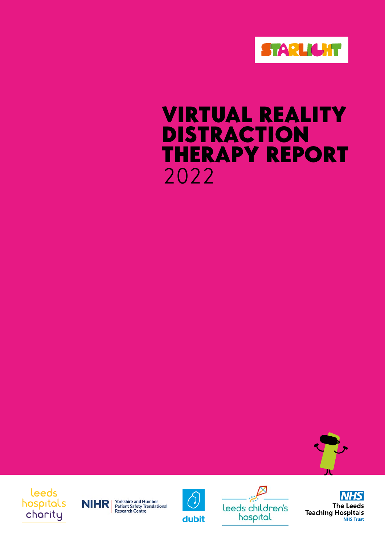

# 2022 VIRTUAL REALITY DISTRACTION THERAPY REPORT



# leeds hospitals charity







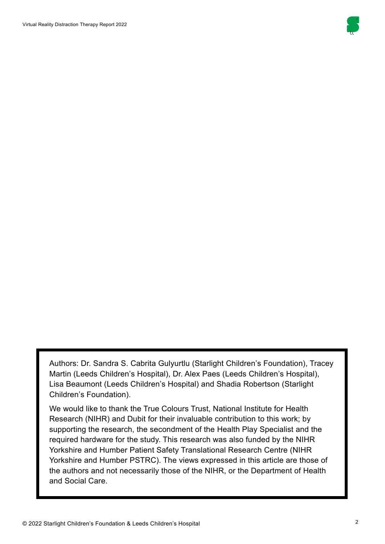

Authors: Dr. Sandra S. Cabrita Gulyurtlu (Starlight Children's Foundation), Tracey Martin (Leeds Children's Hospital), Dr. Alex Paes (Leeds Children's Hospital), Lisa Beaumont (Leeds Children's Hospital) and Shadia Robertson (Starlight Children's Foundation).

We would like to thank the True Colours Trust, National Institute for Health Research (NIHR) and Dubit for their invaluable contribution to this work; by supporting the research, the secondment of the Health Play Specialist and the required hardware for the study. This research was also funded by the NIHR Yorkshire and Humber Patient Safety Translational Research Centre (NIHR Yorkshire and Humber PSTRC). The views expressed in this article are those of the authors and not necessarily those of the NIHR, or the Department of Health and Social Care.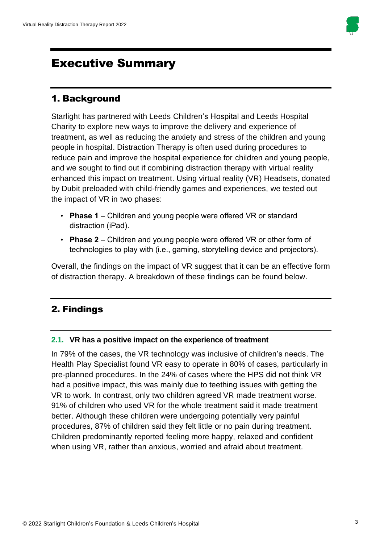

# Executive Summary

### 1. Background

Starlight has partnered with Leeds Children's Hospital and Leeds Hospital Charity to explore new ways to improve the delivery and experience of treatment, as well as reducing the anxiety and stress of the children and young people in hospital. Distraction Therapy is often used during procedures to reduce pain and improve the hospital experience for children and young people, and we sought to find out if combining distraction therapy with virtual reality enhanced this impact on treatment. Using virtual reality (VR) Headsets, donated by Dubit preloaded with child-friendly games and experiences, we tested out the impact of VR in two phases:

- **Phase 1** Children and young people were offered VR or standard distraction (iPad).
- **Phase 2** Children and young people were offered VR or other form of technologies to play with (i.e., gaming, storytelling device and projectors).

Overall, the findings on the impact of VR suggest that it can be an effective form of distraction therapy. A breakdown of these findings can be found below.

# 2. Findings

#### **2.1. VR has a positive impact on the experience of treatment**

In 79% of the cases, the VR technology was inclusive of children's needs. The Health Play Specialist found VR easy to operate in 80% of cases, particularly in pre-planned procedures. In the 24% of cases where the HPS did not think VR had a positive impact, this was mainly due to teething issues with getting the VR to work. In contrast, only two children agreed VR made treatment worse. 91% of children who used VR for the whole treatment said it made treatment better. Although these children were undergoing potentially very painful procedures, 87% of children said they felt little or no pain during treatment. Children predominantly reported feeling more happy, relaxed and confident when using VR, rather than anxious, worried and afraid about treatment.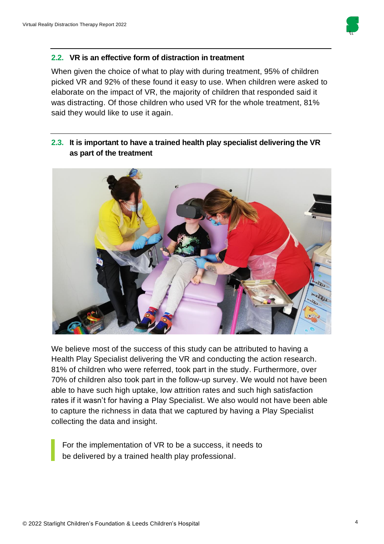

#### **2.2. VR is an effective form of distraction in treatment**

When given the choice of what to play with during treatment, 95% of children picked VR and 92% of these found it easy to use. When children were asked to elaborate on the impact of VR, the majority of children that responded said it was distracting. Of those children who used VR for the whole treatment, 81% said they would like to use it again.

#### **2.3. It is important to have a trained health play specialist delivering the VR as part of the treatment**



We believe most of the success of this study can be attributed to having a Health Play Specialist delivering the VR and conducting the action research. 81% of children who were referred, took part in the study. Furthermore, over 70% of children also took part in the follow-up survey. We would not have been able to have such high uptake, low attrition rates and such high satisfaction rates if it wasn't for having a Play Specialist. We also would not have been able to capture the richness in data that we captured by having a Play Specialist collecting the data and insight.

For the implementation of VR to be a success, it needs to be delivered by a trained health play professional.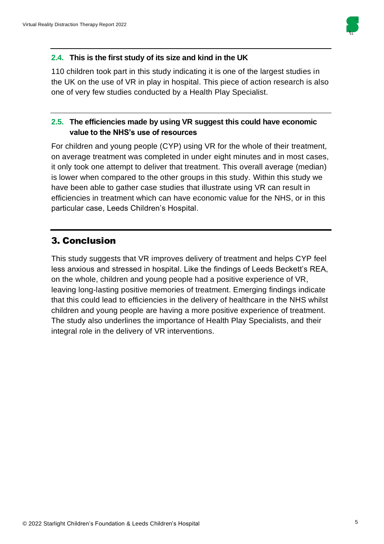

#### **2.4. This is the first study of its size and kind in the UK**

110 children took part in this study indicating it is one of the largest studies in the UK on the use of VR in play in hospital. This piece of action research is also one of very few studies conducted by a Health Play Specialist.

#### **2.5. The efficiencies made by using VR suggest this could have economic value to the NHS's use of resources**

For children and young people (CYP) using VR for the whole of their treatment, on average treatment was completed in under eight minutes and in most cases, it only took one attempt to deliver that treatment. This overall average (median) is lower when compared to the other groups in this study. Within this study we have been able to gather case studies that illustrate using VR can result in efficiencies in treatment which can have economic value for the NHS, or in this particular case, Leeds Children's Hospital.

### 3. Conclusion

This study suggests that VR improves delivery of treatment and helps CYP feel less anxious and stressed in hospital. Like the findings of Leeds Beckett's REA, on the whole, children and young people had a positive experience of VR, leaving long-lasting positive memories of treatment. Emerging findings indicate that this could lead to efficiencies in the delivery of healthcare in the NHS whilst children and young people are having a more positive experience of treatment. The study also underlines the importance of Health Play Specialists, and their integral role in the delivery of VR interventions.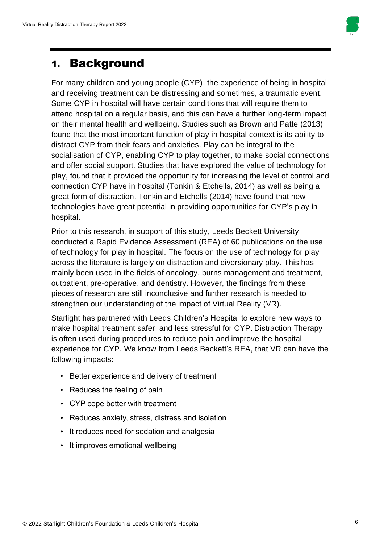

# 1. Background

For many children and young people (CYP), the experience of being in hospital and receiving treatment can be distressing and sometimes, a traumatic event. Some CYP in hospital will have certain conditions that will require them to attend hospital on a regular basis, and this can have a further long-term impact on their mental health and wellbeing. Studies such as Brown and Patte (2013) found that the most important function of play in hospital context is its ability to distract CYP from their fears and anxieties. Play can be integral to the socialisation of CYP, enabling CYP to play together, to make social connections and offer social support. Studies that have explored the value of technology for play, found that it provided the opportunity for increasing the level of control and connection CYP have in hospital (Tonkin & Etchells, 2014) as well as being a great form of distraction. Tonkin and Etchells (2014) have found that new technologies have great potential in providing opportunities for CYP's play in hospital.

Prior to this research, in support of this study, Leeds Beckett University conducted a Rapid Evidence Assessment (REA) of 60 publications on the use of technology for play in hospital. The focus on the use of technology for play across the literature is largely on distraction and diversionary play. This has mainly been used in the fields of oncology, burns management and treatment, outpatient, pre-operative, and dentistry. However, the findings from these pieces of research are still inconclusive and further research is needed to strengthen our understanding of the impact of Virtual Reality (VR).

Starlight has partnered with Leeds Children's Hospital to explore new ways to make hospital treatment safer, and less stressful for CYP. Distraction Therapy is often used during procedures to reduce pain and improve the hospital experience for CYP. We know from Leeds Beckett's REA, that VR can have the following impacts:

- Better experience and delivery of treatment
- Reduces the feeling of pain
- CYP cope better with treatment
- Reduces anxiety, stress, distress and isolation
- It reduces need for sedation and analgesia
- It improves emotional wellbeing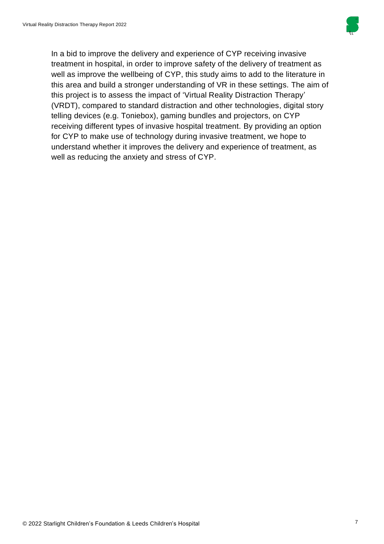

In a bid to improve the delivery and experience of CYP receiving invasive treatment in hospital, in order to improve safety of the delivery of treatment as well as improve the wellbeing of CYP, this study aims to add to the literature in this area and build a stronger understanding of VR in these settings. The aim of this project is to assess the impact of 'Virtual Reality Distraction Therapy' (VRDT), compared to standard distraction and other technologies, digital story telling devices (e.g. Toniebox), gaming bundles and projectors, on CYP receiving different types of invasive hospital treatment. By providing an option for CYP to make use of technology during invasive treatment, we hope to understand whether it improves the delivery and experience of treatment, as well as reducing the anxiety and stress of CYP.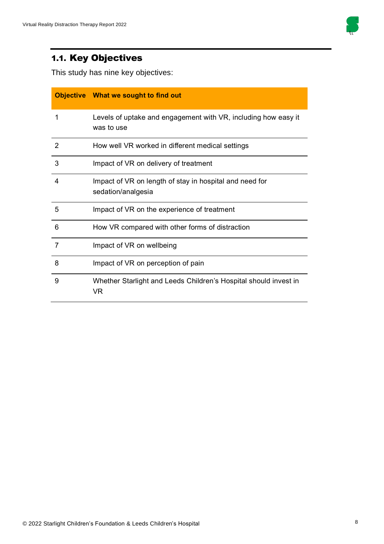

# 1.1. Key Objectives

This study has nine key objectives:

|   | Objective What we sought to find out                                          |
|---|-------------------------------------------------------------------------------|
| 1 | Levels of uptake and engagement with VR, including how easy it<br>was to use  |
| 2 | How well VR worked in different medical settings                              |
| 3 | Impact of VR on delivery of treatment                                         |
| 4 | Impact of VR on length of stay in hospital and need for<br>sedation/analgesia |
| 5 | Impact of VR on the experience of treatment                                   |
| 6 | How VR compared with other forms of distraction                               |
| 7 | Impact of VR on wellbeing                                                     |
| 8 | Impact of VR on perception of pain                                            |
| 9 | Whether Starlight and Leeds Children's Hospital should invest in<br>VR.       |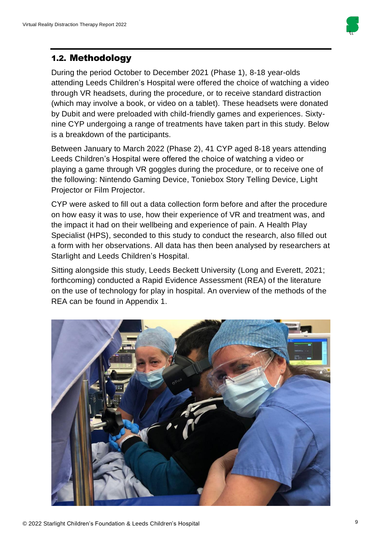

### 1.2. Methodology

During the period October to December 2021 (Phase 1), 8-18 year-olds attending Leeds Children's Hospital were offered the choice of watching a video through VR headsets, during the procedure, or to receive standard distraction (which may involve a book, or video on a tablet). These headsets were donated by Dubit and were preloaded with child-friendly games and experiences. Sixtynine CYP undergoing a range of treatments have taken part in this study. Below is a breakdown of the participants.

Between January to March 2022 (Phase 2), 41 CYP aged 8-18 years attending Leeds Children's Hospital were offered the choice of watching a video or playing a game through VR goggles during the procedure, or to receive one of the following: Nintendo Gaming Device, Toniebox Story Telling Device, Light Projector or Film Projector.

CYP were asked to fill out a data collection form before and after the procedure on how easy it was to use, how their experience of VR and treatment was, and the impact it had on their wellbeing and experience of pain. A Health Play Specialist (HPS), seconded to this study to conduct the research, also filled out a form with her observations. All data has then been analysed by researchers at Starlight and Leeds Children's Hospital.

Sitting alongside this study, Leeds Beckett University (Long and Everett, 2021; forthcoming) conducted a Rapid Evidence Assessment (REA) of the literature on the use of technology for play in hospital. An overview of the methods of the REA can be found in Appendix 1.

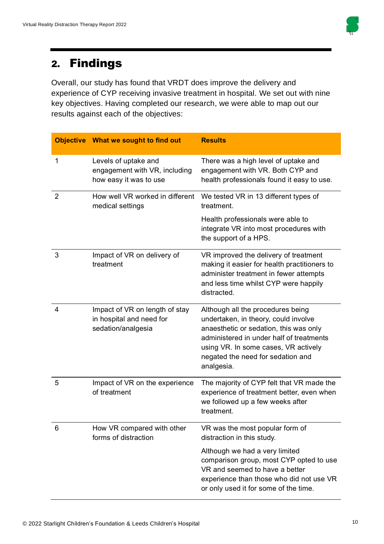

# 2. Findings

Overall, our study has found that VRDT does improve the delivery and experience of CYP receiving invasive treatment in hospital. We set out with nine key objectives. Having completed our research, we were able to map out our results against each of the objectives:

|                | <b>Objective</b> What we sought to find out                                      | <b>Results</b>                                                                                                                                                                                                                                             |
|----------------|----------------------------------------------------------------------------------|------------------------------------------------------------------------------------------------------------------------------------------------------------------------------------------------------------------------------------------------------------|
| 1              | Levels of uptake and<br>engagement with VR, including<br>how easy it was to use  | There was a high level of uptake and<br>engagement with VR. Both CYP and<br>health professionals found it easy to use.                                                                                                                                     |
| $\overline{2}$ | How well VR worked in different<br>medical settings                              | We tested VR in 13 different types of<br>treatment.                                                                                                                                                                                                        |
|                |                                                                                  | Health professionals were able to<br>integrate VR into most procedures with<br>the support of a HPS.                                                                                                                                                       |
| 3              | Impact of VR on delivery of<br>treatment                                         | VR improved the delivery of treatment<br>making it easier for health practitioners to<br>administer treatment in fewer attempts<br>and less time whilst CYP were happily<br>distracted.                                                                    |
| 4              | Impact of VR on length of stay<br>in hospital and need for<br>sedation/analgesia | Although all the procedures being<br>undertaken, in theory, could involve<br>anaesthetic or sedation, this was only<br>administered in under half of treatments<br>using VR. In some cases, VR actively<br>negated the need for sedation and<br>analgesia. |
| 5              | Impact of VR on the experience<br>of treatment                                   | The majority of CYP felt that VR made the<br>experience of treatment better, even when<br>we followed up a few weeks after<br>treatment.                                                                                                                   |
| 6              | How VR compared with other<br>forms of distraction                               | VR was the most popular form of<br>distraction in this study.                                                                                                                                                                                              |
|                |                                                                                  | Although we had a very limited<br>comparison group, most CYP opted to use<br>VR and seemed to have a better<br>experience than those who did not use VR<br>or only used it for some of the time.                                                           |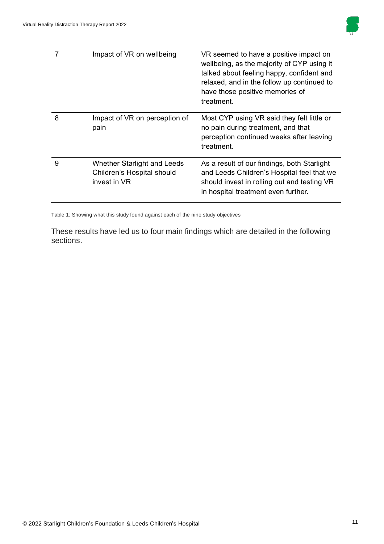

|   | Impact of VR on wellbeing                                                 | VR seemed to have a positive impact on<br>wellbeing, as the majority of CYP using it<br>talked about feeling happy, confident and<br>relaxed, and in the follow up continued to<br>have those positive memories of<br>treatment. |
|---|---------------------------------------------------------------------------|----------------------------------------------------------------------------------------------------------------------------------------------------------------------------------------------------------------------------------|
| 8 | Impact of VR on perception of<br>pain                                     | Most CYP using VR said they felt little or<br>no pain during treatment, and that<br>perception continued weeks after leaving<br>treatment.                                                                                       |
| 9 | Whether Starlight and Leeds<br>Children's Hospital should<br>invest in VR | As a result of our findings, both Starlight<br>and Leeds Children's Hospital feel that we<br>should invest in rolling out and testing VR<br>in hospital treatment even further.                                                  |

Table 1: Showing what this study found against each of the nine study objectives

These results have led us to four main findings which are detailed in the following sections.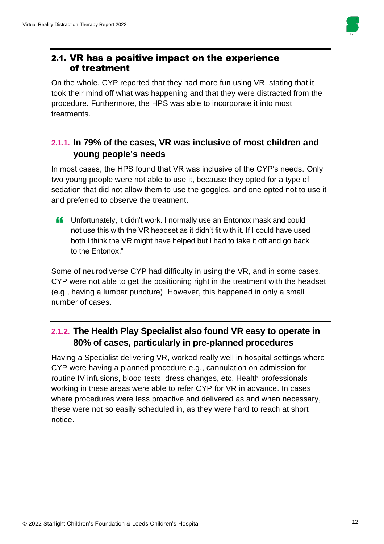

### 2.1. VR has a positive impact on the experience of treatment

On the whole, CYP reported that they had more fun using VR, stating that it took their mind off what was happening and that they were distracted from the procedure. Furthermore, the HPS was able to incorporate it into most treatments.

### **2.1.1. In 79% of the cases, VR was inclusive of most children and young people's needs**

In most cases, the HPS found that VR was inclusive of the CYP's needs. Only two young people were not able to use it, because they opted for a type of sedation that did not allow them to use the goggles, and one opted not to use it and preferred to observe the treatment.

**ff** Unfortunately, it didn't work. I normally use an Entonox mask and could<br>not use this with the VB headeet as it didn't fit with it. If Leauld have used not use this with the VR headset as it didn't fit with it. If I could have used both I think the VR might have helped but I had to take it off and go back to the Entonox."

Some of neurodiverse CYP had difficulty in using the VR, and in some cases, CYP were not able to get the positioning right in the treatment with the headset (e.g., having a lumbar puncture). However, this happened in only a small number of cases.

# **2.1.2. The Health Play Specialist also found VR easy to operate in 80% of cases, particularly in pre-planned procedures**

Having a Specialist delivering VR, worked really well in hospital settings where CYP were having a planned procedure e.g., cannulation on admission for routine IV infusions, blood tests, dress changes, etc. Health professionals working in these areas were able to refer CYP for VR in advance. In cases where procedures were less proactive and delivered as and when necessary, these were not so easily scheduled in, as they were hard to reach at short notice.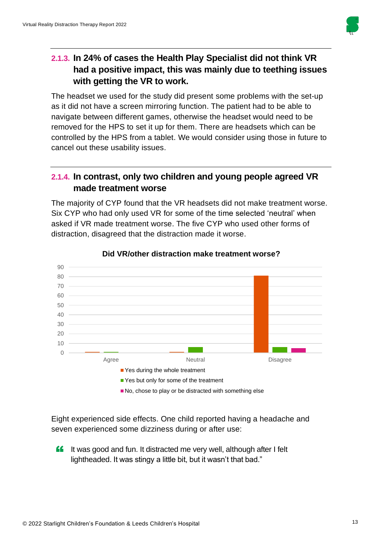

## **2.1.3. In 24% of cases the Health Play Specialist did not think VR had a positive impact, this was mainly due to teething issues with getting the VR to work.**

The headset we used for the study did present some problems with the set-up as it did not have a screen mirroring function. The patient had to be able to navigate between different games, otherwise the headset would need to be removed for the HPS to set it up for them. There are headsets which can be controlled by the HPS from a tablet. We would consider using those in future to cancel out these usability issues.

### **2.1.4. In contrast, only two children and young people agreed VR made treatment worse**

The majority of CYP found that the VR headsets did not make treatment worse. Six CYP who had only used VR for some of the time selected 'neutral' when asked if VR made treatment worse. The five CYP who used other forms of distraction, disagreed that the distraction made it worse.



#### **Did VR/other distraction make treatment worse?**

Eight experienced side effects. One child reported having a headache and seven experienced some dizziness during or after use:

" It was good and fun. It distracted me very well, although after I felt lightheaded. It was stingy a little bit, but it wasn't that bad."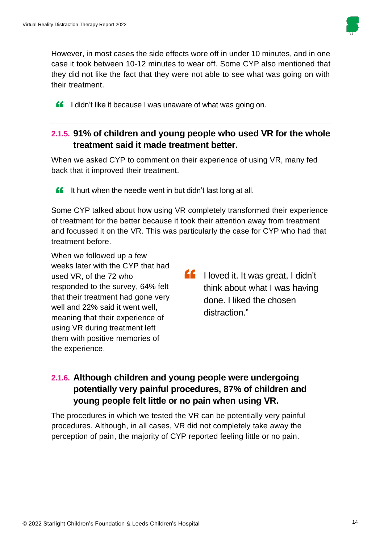

However, in most cases the side effects wore off in under 10 minutes, and in one case it took between 10-12 minutes to wear off. Some CYP also mentioned that they did not like the fact that they were not able to see what was going on with their treatment.

ff I didn't like it because I was unaware of what was going on.

### **2.1.5. 91% of children and young people who used VR for the whole treatment said it made treatment better.**

When we asked CYP to comment on their experience of using VR, many fed back that it improved their treatment.

**ff** It hurt when the needle went in but didn't last long at all.

Some CYP talked about how using VR completely transformed their experience of treatment for the better because it took their attention away from treatment and focussed it on the VR. This was particularly the case for CYP who had that treatment before.

When we followed up a few weeks later with the CYP that had used VR, of the 72 who responded to the survey, 64% felt that their treatment had gone very well and 22% said it went well, meaning that their experience of using VR during treatment left them with positive memories of the experience.

**fo** I loved it. It was great, I didn't<br>think about what I was having think about what I was having done. I liked the chosen distraction."

# **2.1.6. Although children and young people were undergoing potentially very painful procedures, 87% of children and young people felt little or no pain when using VR.**

The procedures in which we tested the VR can be potentially very painful procedures. Although, in all cases, VR did not completely take away the perception of pain, the majority of CYP reported feeling little or no pain.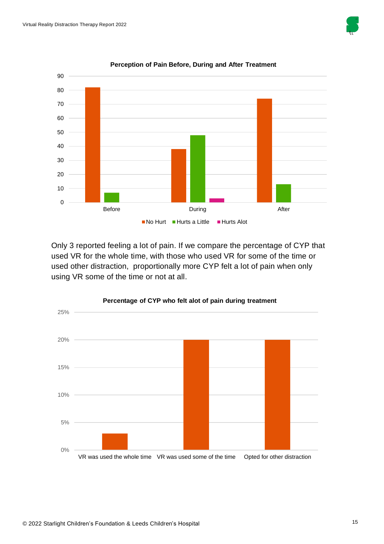



#### **Perception of Pain Before, During and After Treatment**

Only 3 reported feeling a lot of pain. If we compare the percentage of CYP that used VR for the whole time, with those who used VR for some of the time or used other distraction, proportionally more CYP felt a lot of pain when only using VR some of the time or not at all.

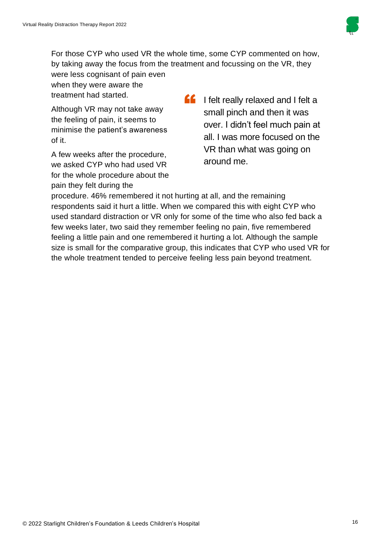

For those CYP who used VR the whole time, some CYP commented on how, by taking away the focus from the treatment and focussing on the VR, they

were less cognisant of pain even when they were aware the treatment had started.

Although VR may not take away the feeling of pain, it seems to minimise the patient's awareness of it.

A few weeks after the procedure, we asked CYP who had used VR for the whole procedure about the pain they felt during the

**f** I felt really relaxed and I felt a<br>
small pinch and then it was small pinch and then it was over. I didn't feel much pain at all. I was more focused on the VR than what was going on around me.

procedure. 46% remembered it not hurting at all, and the remaining respondents said it hurt a little. When we compared this with eight CYP who used standard distraction or VR only for some of the time who also fed back a few weeks later, two said they remember feeling no pain, five remembered feeling a little pain and one remembered it hurting a lot. Although the sample size is small for the comparative group, this indicates that CYP who used VR for the whole treatment tended to perceive feeling less pain beyond treatment.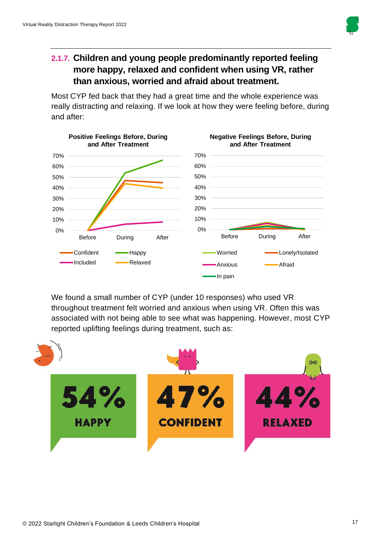

## **2.1.7. Children and young people predominantly reported feeling more happy, relaxed and confident when using VR, rather than anxious, worried and afraid about treatment.**

Most CYP fed back that they had a great time and the whole experience was really distracting and relaxing. If we look at how they were feeling before, during and after:



We found a small number of CYP (under 10 responses) who used VR throughout treatment felt worried and anxious when using VR. Often this was associated with not being able to see what was happening. However, most CYP reported uplifting feelings during treatment, such as:

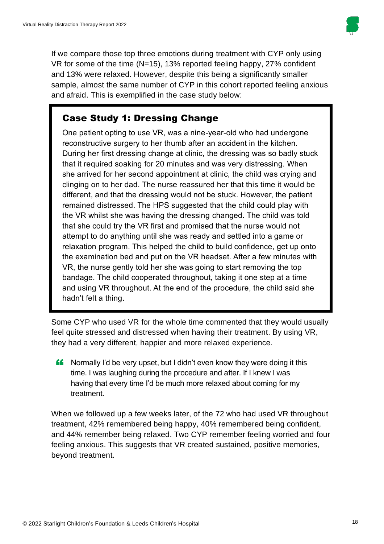

If we compare those top three emotions during treatment with CYP only using VR for some of the time (N=15), 13% reported feeling happy, 27% confident and 13% were relaxed. However, despite this being a significantly smaller sample, almost the same number of CYP in this cohort reported feeling anxious and afraid. This is exemplified in the case study below:

# Case Study 1: Dressing Change

One patient opting to use VR, was a nine-year-old who had undergone reconstructive surgery to her thumb after an accident in the kitchen. During her first dressing change at clinic, the dressing was so badly stuck that it required soaking for 20 minutes and was very distressing. When she arrived for her second appointment at clinic, the child was crying and clinging on to her dad. The nurse reassured her that this time it would be different, and that the dressing would not be stuck. However, the patient remained distressed. The HPS suggested that the child could play with the VR whilst she was having the dressing changed. The child was told that she could try the VR first and promised that the nurse would not attempt to do anything until she was ready and settled into a game or relaxation program. This helped the child to build confidence, get up onto the examination bed and put on the VR headset. After a few minutes with VR, the nurse gently told her she was going to start removing the top bandage. The child cooperated throughout, taking it one step at a time and using VR throughout. At the end of the procedure, the child said she hadn't felt a thing.

Some CYP who used VR for the whole time commented that they would usually feel quite stressed and distressed when having their treatment. By using VR, they had a very different, happier and more relaxed experience.

**"** Normally I'd be very upset, but I didn't even know they were doing it this<br>time. I wes loughing during the presedure and efter. If I know I wes time. I was laughing during the procedure and after. If I knew I was having that every time I'd be much more relaxed about coming for my treatment.

When we followed up a few weeks later, of the 72 who had used VR throughout treatment, 42% remembered being happy, 40% remembered being confident, and 44% remember being relaxed. Two CYP remember feeling worried and four feeling anxious. This suggests that VR created sustained, positive memories, beyond treatment.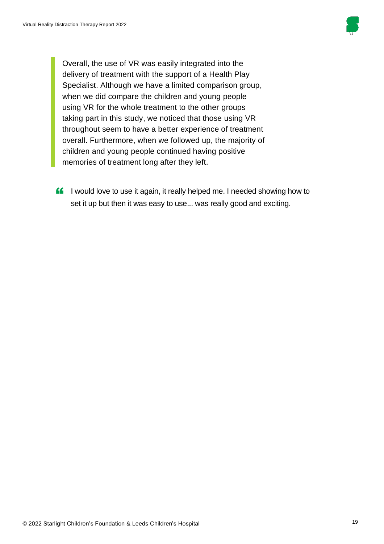

Overall, the use of VR was easily integrated into the delivery of treatment with the support of a Health Play Specialist. Although we have a limited comparison group, when we did compare the children and young people using VR for the whole treatment to the other groups taking part in this study, we noticed that those using VR throughout seem to have a better experience of treatment overall. Furthermore, when we followed up, the majority of children and young people continued having positive memories of treatment long after they left.

**ff** I would love to use it again, it really helped me. I needed showing how to set it up but then it was easy to use... was really good and exciting.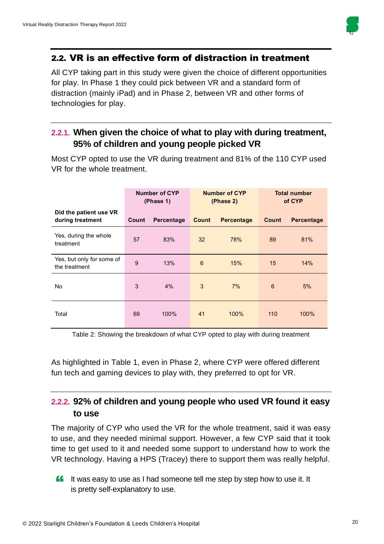

### 2.2. VR is an effective form of distraction in treatment

All CYP taking part in this study were given the choice of different opportunities for play. In Phase 1 they could pick between VR and a standard form of distraction (mainly iPad) and in Phase 2, between VR and other forms of technologies for play.

### **2.2.1. When given the choice of what to play with during treatment, 95% of children and young people picked VR**

|                                            |       | Number of CYP<br>(Phase 1) |       | <b>Number of CYP</b><br>(Phase 2) |       | <b>Total number</b><br>of CYP |
|--------------------------------------------|-------|----------------------------|-------|-----------------------------------|-------|-------------------------------|
| Did the patient use VR<br>during treatment | Count | Percentage                 | Count | <b>Percentage</b>                 | Count | Percentage                    |
| Yes, during the whole<br>treatment         | 57    | 83%                        | 32    | 78%                               | 89    | 81%                           |
| Yes, but only for some of<br>the treatment | 9     | 13%                        | 6     | 15%                               | 15    | 14%                           |
| No                                         | 3     | 4%                         | 3     | 7%                                | 6     | 5%                            |
| Total                                      | 69    | 100%                       | 41    | 100%                              | 110   | 100%                          |

Most CYP opted to use the VR during treatment and 81% of the 110 CYP used VR for the whole treatment.

Table 2: Showing the breakdown of what CYP opted to play with during treatment

As highlighted in Table 1, even in Phase 2, where CYP were offered different fun tech and gaming devices to play with, they preferred to opt for VR.

### **2.2.2. 92% of children and young people who used VR found it easy to use**

The majority of CYP who used the VR for the whole treatment, said it was easy to use, and they needed minimal support. However, a few CYP said that it took time to get used to it and needed some support to understand how to work the VR technology. Having a HPS (Tracey) there to support them was really helpful.

**If** It was easy to use as I had someone tell me step by step how to use it. It is pretty self-explanatory to use.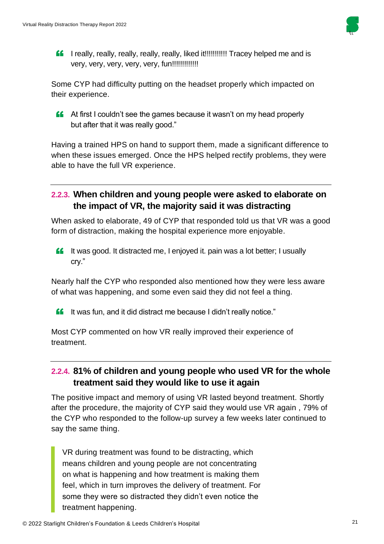

**ff** I really, really, really, really, really, liked it!!!!!!!!!!! Tracey helped me and is very, very, very, very, very, fun!!!!!!!!!!!!!

Some CYP had difficulty putting on the headset properly which impacted on their experience.

**CO** At first I couldn't see the games because it wasn't on my head properly but ofter that it was really good." but after that it was really good."

Having a trained HPS on hand to support them, made a significant difference to when these issues emerged. Once the HPS helped rectify problems, they were able to have the full VR experience.

### **2.2.3. When children and young people were asked to elaborate on the impact of VR, the majority said it was distracting**

When asked to elaborate, 49 of CYP that responded told us that VR was a good form of distraction, making the hospital experience more enjoyable.

**ff** It was good. It distracted me, I enjoyed it. pain was a lot better; I usually cry."

Nearly half the CYP who responded also mentioned how they were less aware of what was happening, and some even said they did not feel a thing.

**ff** It was fun, and it did distract me because I didn't really notice."

Most CYP commented on how VR really improved their experience of treatment.

### **2.2.4. 81% of children and young people who used VR for the whole treatment said they would like to use it again**

The positive impact and memory of using VR lasted beyond treatment. Shortly after the procedure, the majority of CYP said they would use VR again , 79% of the CYP who responded to the follow-up survey a few weeks later continued to say the same thing.

VR during treatment was found to be distracting, which means children and young people are not concentrating on what is happening and how treatment is making them feel, which in turn improves the delivery of treatment. For some they were so distracted they didn't even notice the treatment happening.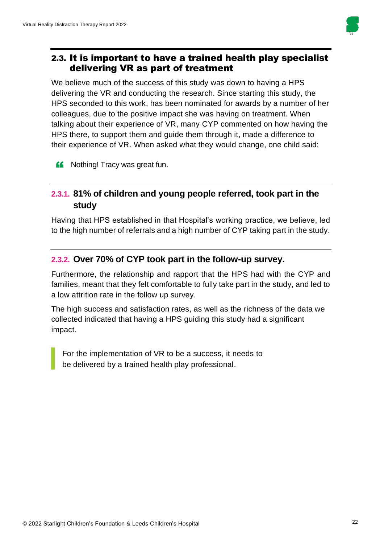

### 2.3. It is important to have a trained health play specialist delivering VR as part of treatment

We believe much of the success of this study was down to having a HPS delivering the VR and conducting the research. Since starting this study, the HPS seconded to this work, has been nominated for awards by a number of her colleagues, due to the positive impact she was having on treatment. When talking about their experience of VR, many CYP commented on how having the HPS there, to support them and guide them through it, made a difference to their experience of VR. When asked what they would change, one child said:

**ff** Nothing! Tracy was great fun.

### **2.3.1. 81% of children and young people referred, took part in the study**

Having that HPS established in that Hospital's working practice, we believe, led to the high number of referrals and a high number of CYP taking part in the study.

### **2.3.2. Over 70% of CYP took part in the follow-up survey.**

Furthermore, the relationship and rapport that the HPS had with the CYP and families, meant that they felt comfortable to fully take part in the study, and led to a low attrition rate in the follow up survey.

The high success and satisfaction rates, as well as the richness of the data we collected indicated that having a HPS guiding this study had a significant impact.

For the implementation of VR to be a success, it needs to be delivered by a trained health play professional.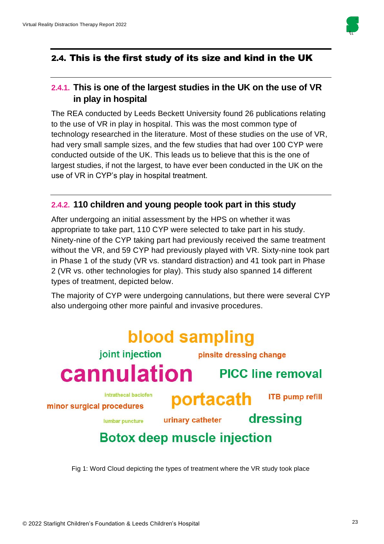

### 2.4. This is the first study of its size and kind in the UK

### **2.4.1. This is one of the largest studies in the UK on the use of VR in play in hospital**

The REA conducted by Leeds Beckett University found 26 publications relating to the use of VR in play in hospital. This was the most common type of technology researched in the literature. Most of these studies on the use of VR, had very small sample sizes, and the few studies that had over 100 CYP were conducted outside of the UK. This leads us to believe that this is the one of largest studies, if not the largest, to have ever been conducted in the UK on the use of VR in CYP's play in hospital treatment.

### **2.4.2. 110 children and young people took part in this study**

After undergoing an initial assessment by the HPS on whether it was appropriate to take part, 110 CYP were selected to take part in his study. Ninety-nine of the CYP taking part had previously received the same treatment without the VR, and 59 CYP had previously played with VR. Sixty-nine took part in Phase 1 of the study (VR vs. standard distraction) and 41 took part in Phase 2 (VR vs. other technologies for play). This study also spanned 14 different types of treatment, depicted below.

The majority of CYP were undergoing cannulations, but there were several CYP also undergoing other more painful and invasive procedures.

### blood sampling joint injection pinsite dressing change **Cannulation** PICC line removal intrathecal baclofen portacath **ITB pump refill** minor surgical procedures dressing urinary catheter lumbar puncture **Botox deep muscle injection**

Fig 1: Word Cloud depicting the types of treatment where the VR study took place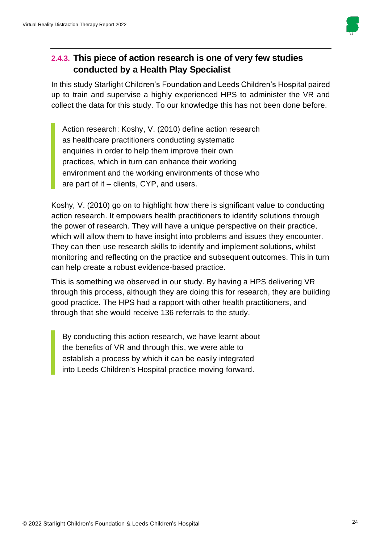

### **2.4.3. This piece of action research is one of very few studies conducted by a Health Play Specialist**

In this study Starlight Children's Foundation and Leeds Children's Hospital paired up to train and supervise a highly experienced HPS to administer the VR and collect the data for this study. To our knowledge this has not been done before.

Action research: Koshy, V. (2010) define action research as healthcare practitioners conducting systematic enquiries in order to help them improve their own practices, which in turn can enhance their working environment and the working environments of those who are part of it – clients, CYP, and users.

Koshy*,* V. (2010) go on to highlight how there is significant value to conducting action research. It empowers health practitioners to identify solutions through the power of research. They will have a unique perspective on their practice, which will allow them to have insight into problems and issues they encounter. They can then use research skills to identify and implement solutions, whilst monitoring and reflecting on the practice and subsequent outcomes. This in turn can help create a robust evidence-based practice.

This is something we observed in our study. By having a HPS delivering VR through this process, although they are doing this for research, they are building good practice. The HPS had a rapport with other health practitioners, and through that she would receive 136 referrals to the study.

By conducting this action research, we have learnt about the benefits of VR and through this, we were able to establish a process by which it can be easily integrated into Leeds Children's Hospital practice moving forward.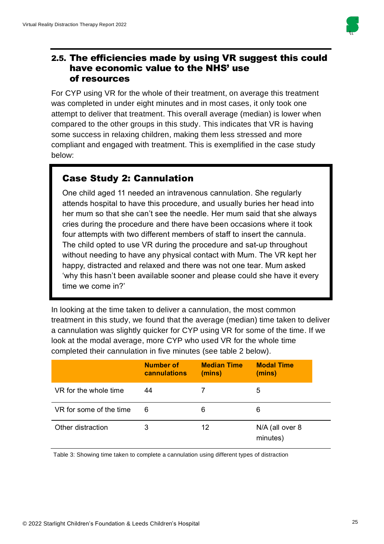

### 2.5. The efficiencies made by using VR suggest this could have economic value to the NHS' use of resources

For CYP using VR for the whole of their treatment, on average this treatment was completed in under eight minutes and in most cases, it only took one attempt to deliver that treatment. This overall average (median) is lower when compared to the other groups in this study. This indicates that VR is having some success in relaxing children, making them less stressed and more compliant and engaged with treatment. This is exemplified in the case study below:

# Case Study 2: Cannulation

One child aged 11 needed an intravenous cannulation. She regularly attends hospital to have this procedure, and usually buries her head into her mum so that she can't see the needle. Her mum said that she always cries during the procedure and there have been occasions where it took four attempts with two different members of staff to insert the cannula. The child opted to use VR during the procedure and sat-up throughout without needing to have any physical contact with Mum. The VR kept her happy, distracted and relaxed and there was not one tear. Mum asked 'why this hasn't been available sooner and please could she have it every time we come in?'

In looking at the time taken to deliver a cannulation, the most common treatment in this study, we found that the average (median) time taken to deliver a cannulation was slightly quicker for CYP using VR for some of the time. If we look at the modal average, more CYP who used VR for the whole time completed their cannulation in five minutes (see table 2 below).

|                         | Number of<br>cannulations | <b>Median Time</b><br>(mins) | <b>Modal Time</b><br>(mins) |
|-------------------------|---------------------------|------------------------------|-----------------------------|
| VR for the whole time   | 44                        |                              | 5                           |
| VR for some of the time | 6                         | 6                            | 6                           |
| Other distraction       | 3                         | 12                           | N/A (all over 8<br>minutes) |

Table 3: Showing time taken to complete a cannulation using different types of distraction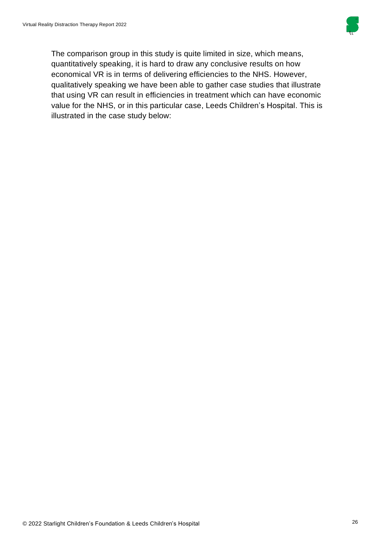

The comparison group in this study is quite limited in size, which means, quantitatively speaking, it is hard to draw any conclusive results on how economical VR is in terms of delivering efficiencies to the NHS. However, qualitatively speaking we have been able to gather case studies that illustrate that using VR can result in efficiencies in treatment which can have economic value for the NHS, or in this particular case, Leeds Children's Hospital. This is illustrated in the case study below: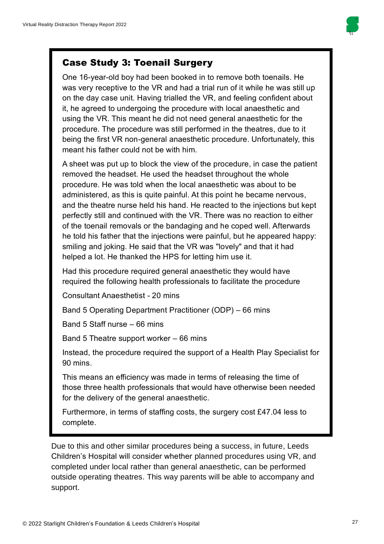

### Case Study 3: Toenail Surgery

One 16-year-old boy had been booked in to remove both toenails. He was very receptive to the VR and had a trial run of it while he was still up on the day case unit. Having trialled the VR, and feeling confident about it, he agreed to undergoing the procedure with local anaesthetic and using the VR. This meant he did not need general anaesthetic for the procedure. The procedure was still performed in the theatres, due to it being the first VR non-general anaesthetic procedure. Unfortunately, this meant his father could not be with him.

A sheet was put up to block the view of the procedure, in case the patient removed the headset. He used the headset throughout the whole procedure. He was told when the local anaesthetic was about to be administered, as this is quite painful. At this point he became nervous, and the theatre nurse held his hand. He reacted to the injections but kept perfectly still and continued with the VR. There was no reaction to either of the toenail removals or the bandaging and he coped well. Afterwards he told his father that the injections were painful, but he appeared happy: smiling and joking. He said that the VR was "lovely" and that it had helped a lot. He thanked the HPS for letting him use it.

Had this procedure required general anaesthetic they would have required the following health professionals to facilitate the procedure

Consultant Anaesthetist - 20 mins

Band 5 Operating Department Practitioner (ODP) – 66 mins

Band 5 Staff nurse – 66 mins

Band 5 Theatre support worker – 66 mins

Instead, the procedure required the support of a Health Play Specialist for 90 mins.

This means an efficiency was made in terms of releasing the time of those three health professionals that would have otherwise been needed for the delivery of the general anaesthetic.

Furthermore, in terms of staffing costs, the surgery cost £47.04 less to complete.

Due to this and other similar procedures being a success, in future, Leeds Children's Hospital will consider whether planned procedures using VR, and completed under local rather than general anaesthetic, can be performed outside operating theatres. This way parents will be able to accompany and support.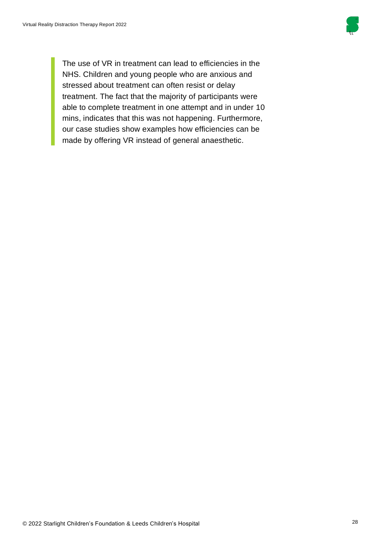

The use of VR in treatment can lead to efficiencies in the NHS. Children and young people who are anxious and stressed about treatment can often resist or delay treatment. The fact that the majority of participants were able to complete treatment in one attempt and in under 10 mins, indicates that this was not happening. Furthermore, our case studies show examples how efficiencies can be made by offering VR instead of general anaesthetic.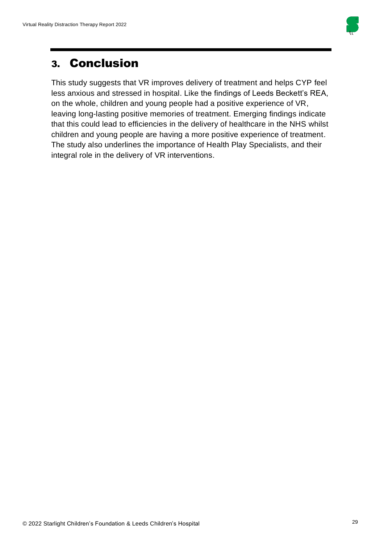

# 3. Conclusion

This study suggests that VR improves delivery of treatment and helps CYP feel less anxious and stressed in hospital. Like the findings of Leeds Beckett's REA, on the whole, children and young people had a positive experience of VR, leaving long-lasting positive memories of treatment. Emerging findings indicate that this could lead to efficiencies in the delivery of healthcare in the NHS whilst children and young people are having a more positive experience of treatment. The study also underlines the importance of Health Play Specialists, and their integral role in the delivery of VR interventions.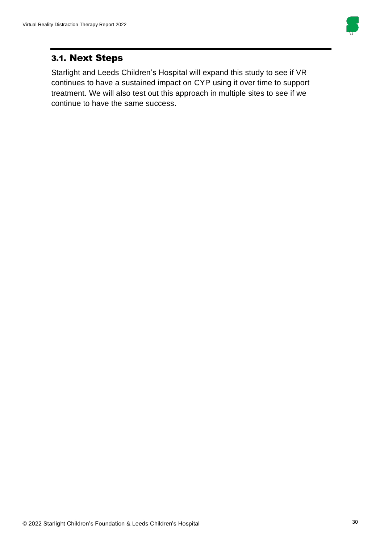

### 3.1. Next Steps

Starlight and Leeds Children's Hospital will expand this study to see if VR continues to have a sustained impact on CYP using it over time to support treatment. We will also test out this approach in multiple sites to see if we continue to have the same success.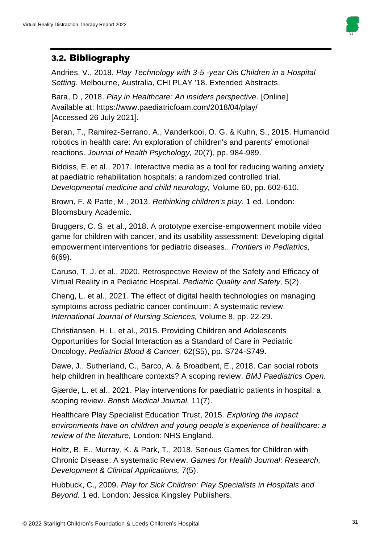

### 3.2. Bibliography

Andries, V., 2018. *Play Technology with 3-5 -year Ols Children in a Hospital Setting.* Melbourne, Australia, CHI PLAY '18. Extended Abstracts.

Bara, D., 2018. *Play in Healthcare: An insiders perspective.* [Online] Available at: https://www.paediatricfoam.com/2018/04/play/ [Accessed 26 July 2021].

Beran, T., Ramirez-Serrano, A., Vanderkooi, O. G. & Kuhn, S., 2015. Humanoid robotics in health care: An exploration of children's and parents' emotional reactions. *Journal of Health Psychology,* 20(7), pp. 984-989.

Biddiss, E. et al., 2017. Interactive media as a tool for reducing waiting anxiety at paediatric rehabilitation hospitals: a randomized controlled trial. *Developmental medicine and child neurology,* Volume 60, pp. 602-610.

Brown, F. & Patte, M., 2013. *Rethinking children's play.* 1 ed. London: Bloomsbury Academic.

Bruggers, C. S. et al., 2018. A prototype exercise-empowerment mobile video game for children with cancer, and its usability assessment: Developing digital empowerment interventions for pediatric diseases.. *Frontiers in Pediatrics,*  6(69).

Caruso, T. J. et al., 2020. Retrospective Review of the Safety and Efficacy of Virtual Reality in a Pediatric Hospital. *Pediatric Quality and Safety,* 5(2).

Cheng, L. et al., 2021. The effect of digital health technologies on managing symptoms across pediatric cancer continuum: A systematic review. *International Journal of Nursing Sciences,* Volume 8, pp. 22-29.

Christiansen, H. L. et al., 2015. Providing Children and Adolescents Opportunities for Social Interaction as a Standard of Care in Pediatric Oncology. *Pediatrict Blood & Cancer,* 62(S5), pp. S724-S749.

Dawe, J., Sutherland, C., Barco, A. & Broadbent, E., 2018. Can social robots help children in healthcare contexts? A scoping review. *BMJ Paediatrics Open.*

Gjærde, L. et al., 2021. Play interventions for paediatric patients in hospital: a scoping review. *British Medical Journal,* 11(7).

Healthcare Play Specialist Education Trust, 2015. *Exploring the impact environments have on children and young people's experience of healthcare: a review of the literature,* London: NHS England.

Holtz, B. E., Murray, K. & Park, T., 2018. Serious Games for Children with Chronic Disease: A systematic Review. *Games for Health Journal: Research, Development & Clinical Applications,* 7(5).

Hubbuck, C., 2009. *Play for Sick Children: Play Specialists in Hospitals and Beyond.* 1 ed. London: Jessica Kingsley Publishers.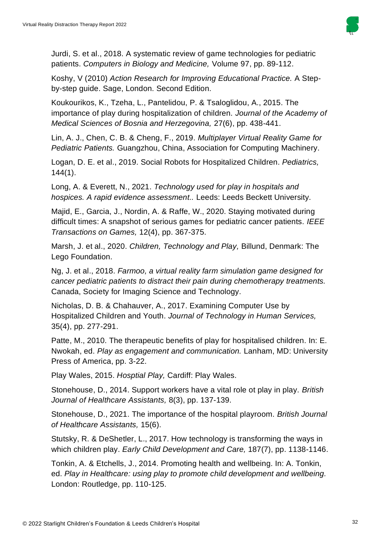

Jurdi, S. et al., 2018. A systematic review of game technologies for pediatric patients. *Computers in Biology and Medicine,* Volume 97, pp. 89-112.

Koshy, V (2010) *Action Research for Improving Educational Practice.* A Stepby-step guide. Sage, London. Second Edition.

Koukourikos, K., Tzeha, L., Pantelidou, P. & Tsaloglidou, A., 2015. The importance of play during hospitalization of children. *Journal of the Academy of Medical Sciences of Bosnia and Herzegovina,* 27(6), pp. 438-441.

Lin, A. J., Chen, C. B. & Cheng, F., 2019. *Multiplayer Virtual Reality Game for Pediatric Patients.* Guangzhou, China, Association for Computing Machinery.

Logan, D. E. et al., 2019. Social Robots for Hospitalized Children. *Pediatrics,*  144(1).

Long, A. & Everett, N., 2021. *Technology used for play in hospitals and hospices. A rapid evidence assessment..* Leeds: Leeds Beckett University.

Majid, E., Garcia, J., Nordin, A. & Raffe, W., 2020. Staying motivated during difficult times: A snapshot of serious games for pediatric cancer patients. *IEEE Transactions on Games,* 12(4), pp. 367-375.

Marsh, J. et al., 2020. *Children, Technology and Play,* Billund, Denmark: The Lego Foundation.

Ng, J. et al., 2018. *Farmoo, a virtual reality farm simulation game designed for cancer pediatric patients to distract their pain during chemotherapy treatments.*  Canada, Society for Imaging Science and Technology.

Nicholas, D. B. & Chahauver, A., 2017. Examining Computer Use by Hospitalized Children and Youth. *Journal of Technology in Human Services,*  35(4), pp. 277-291.

Patte, M., 2010. The therapeutic benefits of play for hospitalised children. In: E. Nwokah, ed. *Play as engagement and communication.* Lanham, MD: University Press of America, pp. 3-22.

Play Wales, 2015. *Hosptial Play,* Cardiff: Play Wales.

Stonehouse, D., 2014. Support workers have a vital role ot play in play. *British Journal of Healthcare Assistants,* 8(3), pp. 137-139.

Stonehouse, D., 2021. The importance of the hospital playroom. *British Journal of Healthcare Assistants,* 15(6).

Stutsky, R. & DeShetler, L., 2017. How technology is transforming the ways in which children play. *Early Child Development and Care,* 187(7), pp. 1138-1146.

Tonkin, A. & Etchells, J., 2014. Promoting health and wellbeing. In: A. Tonkin, ed. *Play in Healthcare: using play to promote child development and wellbeing.*  London: Routledge, pp. 110-125.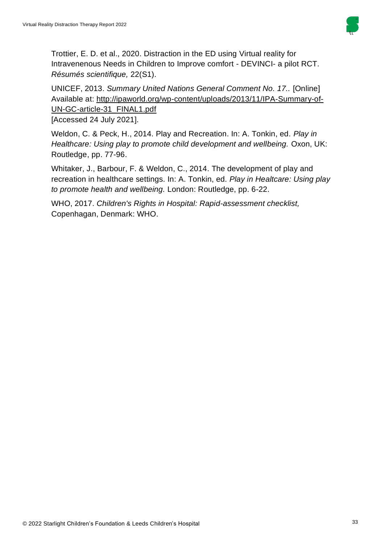

Trottier, E. D. et al., 2020. Distraction in the ED using Virtual reality for Intravenenous Needs in Children to Improve comfort - DEVINCI- a pilot RCT. *Résumés scientifique,* 22(S1).

UNICEF, 2013. *Summary United Nations General Comment No. 17..* [Online] Available at: http://ipaworld.org/wp-content/uploads/2013/11/IPA-Summary-of-UN-GC-article-31\_FINAL1.pdf

[Accessed 24 July 2021].

Weldon, C. & Peck, H., 2014. Play and Recreation. In: A. Tonkin, ed. *Play in Healthcare: Using play to promote child development and wellbeing. Oxon, UK:* Routledge, pp. 77-96.

Whitaker, J., Barbour, F. & Weldon, C., 2014. The development of play and recreation in healthcare settings. In: A. Tonkin, ed. *Play in Healtcare: Using play to promote health and wellbeing.* London: Routledge, pp. 6-22.

WHO, 2017. *Children's Rights in Hospital: Rapid-assessment checklist,*  Copenhagan, Denmark: WHO.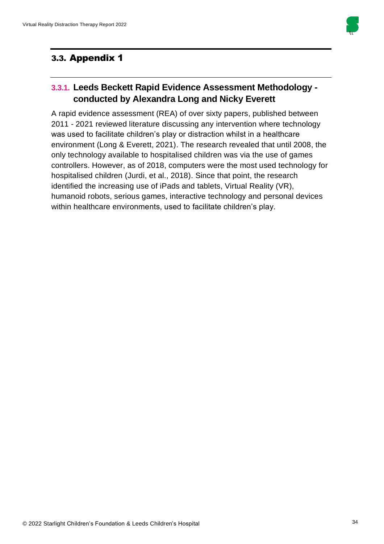

### 3.3. Appendix 1

### **3.3.1. Leeds Beckett Rapid Evidence Assessment Methodology conducted by Alexandra Long and Nicky Everett**

A rapid evidence assessment (REA) of over sixty papers, published between 2011 - 2021 reviewed literature discussing any intervention where technology was used to facilitate children's play or distraction whilst in a healthcare environment (Long & Everett, 2021). The research revealed that until 2008, the only technology available to hospitalised children was via the use of games controllers. However, as of 2018, computers were the most used technology for hospitalised children (Jurdi, et al., 2018). Since that point, the research identified the increasing use of iPads and tablets, Virtual Reality (VR), humanoid robots, serious games, interactive technology and personal devices within healthcare environments, used to facilitate children's play.